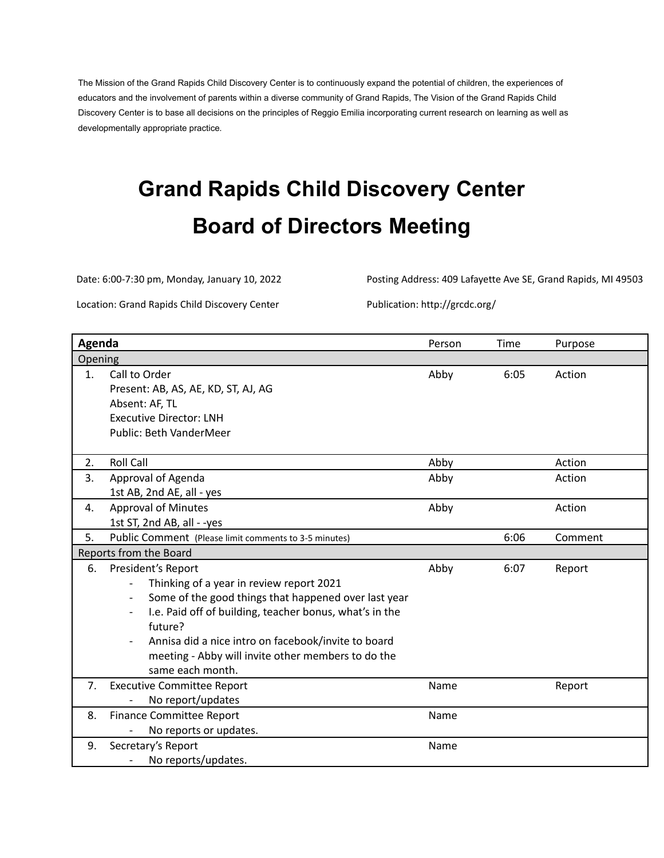The Mission of the Grand Rapids Child Discovery Center is to continuously expand the potential of children, the experiences of educators and the involvement of parents within a diverse community of Grand Rapids, The Vision of the Grand Rapids Child Discovery Center is to base all decisions on the principles of Reggio Emilia incorporating current research on learning as well as developmentally appropriate practice.

# **Grand Rapids Child Discovery Center Board of Directors Meeting**

Date: 6:00-7:30 pm, Monday, January 10, 2022 Posting Address: 409 Lafayette Ave SE, Grand Rapids, MI 49503

Location: Grand Rapids Child Discovery Center Publication: http://grcdc.org/

| Agenda                 |                                                                                                                                                                                                                                                                                                                               | Person | Time | Purpose |  |  |
|------------------------|-------------------------------------------------------------------------------------------------------------------------------------------------------------------------------------------------------------------------------------------------------------------------------------------------------------------------------|--------|------|---------|--|--|
| Opening                |                                                                                                                                                                                                                                                                                                                               |        |      |         |  |  |
| 1.                     | Call to Order<br>Present: AB, AS, AE, KD, ST, AJ, AG<br>Absent: AF, TL<br><b>Executive Director: LNH</b><br><b>Public: Beth VanderMeer</b>                                                                                                                                                                                    | Abby   | 6:05 | Action  |  |  |
| 2.                     | <b>Roll Call</b>                                                                                                                                                                                                                                                                                                              | Abby   |      | Action  |  |  |
| 3.                     | Approval of Agenda<br>1st AB, 2nd AE, all - yes                                                                                                                                                                                                                                                                               | Abby   |      | Action  |  |  |
| 4.                     | <b>Approval of Minutes</b><br>1st ST, 2nd AB, all - -yes                                                                                                                                                                                                                                                                      | Abby   |      | Action  |  |  |
| 5.                     | Public Comment (Please limit comments to 3-5 minutes)                                                                                                                                                                                                                                                                         |        | 6:06 | Comment |  |  |
| Reports from the Board |                                                                                                                                                                                                                                                                                                                               |        |      |         |  |  |
| 6.                     | President's Report<br>Thinking of a year in review report 2021<br>Some of the good things that happened over last year<br>I.e. Paid off of building, teacher bonus, what's in the<br>future?<br>Annisa did a nice intro on facebook/invite to board<br>meeting - Abby will invite other members to do the<br>same each month. | Abby   | 6:07 | Report  |  |  |
| 7.                     | <b>Executive Committee Report</b><br>No report/updates                                                                                                                                                                                                                                                                        | Name   |      | Report  |  |  |
| 8.                     | <b>Finance Committee Report</b><br>No reports or updates.                                                                                                                                                                                                                                                                     | Name   |      |         |  |  |
| 9.                     | Secretary's Report<br>No reports/updates.                                                                                                                                                                                                                                                                                     | Name   |      |         |  |  |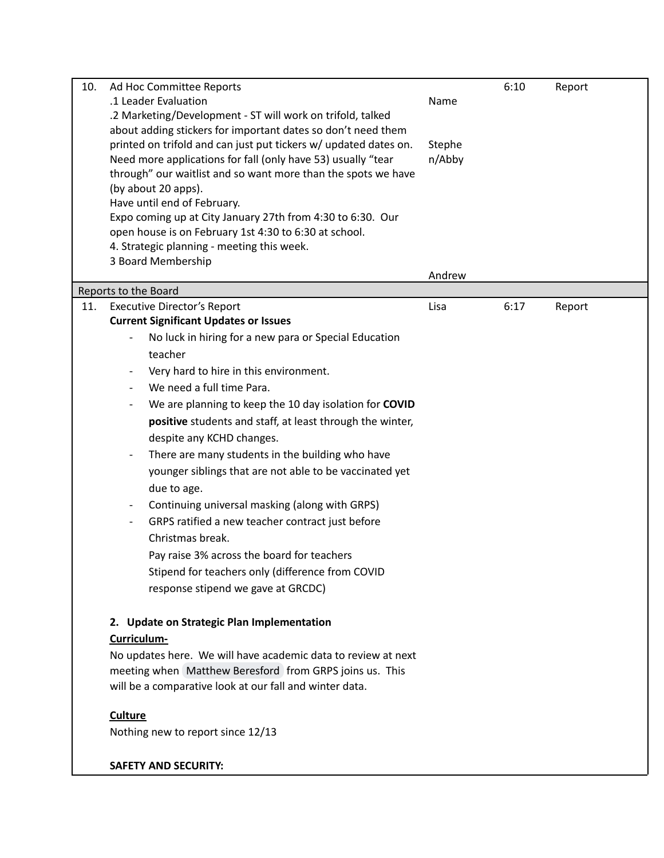| 10. | Ad Hoc Committee Reports                                         |        | 6:10 | Report |
|-----|------------------------------------------------------------------|--------|------|--------|
|     | .1 Leader Evaluation                                             | Name   |      |        |
|     | .2 Marketing/Development - ST will work on trifold, talked       |        |      |        |
|     | about adding stickers for important dates so don't need them     |        |      |        |
|     | printed on trifold and can just put tickers w/ updated dates on. | Stephe |      |        |
|     | Need more applications for fall (only have 53) usually "tear     | n/Abby |      |        |
|     | through" our waitlist and so want more than the spots we have    |        |      |        |
|     | (by about 20 apps).                                              |        |      |        |
|     | Have until end of February.                                      |        |      |        |
|     | Expo coming up at City January 27th from 4:30 to 6:30. Our       |        |      |        |
|     | open house is on February 1st 4:30 to 6:30 at school.            |        |      |        |
|     | 4. Strategic planning - meeting this week.                       |        |      |        |
|     | 3 Board Membership                                               |        |      |        |
|     |                                                                  | Andrew |      |        |
|     | Reports to the Board                                             |        |      |        |
| 11. | <b>Executive Director's Report</b>                               | Lisa   | 6:17 | Report |
|     | <b>Current Significant Updates or Issues</b>                     |        |      |        |
|     | No luck in hiring for a new para or Special Education            |        |      |        |
|     | teacher                                                          |        |      |        |
|     | Very hard to hire in this environment.                           |        |      |        |
|     | We need a full time Para.                                        |        |      |        |
|     | We are planning to keep the 10 day isolation for COVID           |        |      |        |
|     | positive students and staff, at least through the winter,        |        |      |        |
|     | despite any KCHD changes.                                        |        |      |        |
|     | There are many students in the building who have                 |        |      |        |
|     | younger siblings that are not able to be vaccinated yet          |        |      |        |
|     |                                                                  |        |      |        |
|     | due to age.                                                      |        |      |        |
|     | Continuing universal masking (along with GRPS)                   |        |      |        |
|     | GRPS ratified a new teacher contract just before                 |        |      |        |
|     | Christmas break.                                                 |        |      |        |
|     | Pay raise 3% across the board for teachers                       |        |      |        |
|     | Stipend for teachers only (difference from COVID                 |        |      |        |
|     | response stipend we gave at GRCDC)                               |        |      |        |
|     |                                                                  |        |      |        |
|     | 2. Update on Strategic Plan Implementation                       |        |      |        |
|     | Curriculum-                                                      |        |      |        |
|     | No updates here. We will have academic data to review at next    |        |      |        |
|     | meeting when Matthew Beresford from GRPS joins us. This          |        |      |        |
|     | will be a comparative look at our fall and winter data.          |        |      |        |
|     |                                                                  |        |      |        |
|     | <b>Culture</b>                                                   |        |      |        |
|     | Nothing new to report since 12/13                                |        |      |        |
|     | <b>SAFETY AND SECURITY:</b>                                      |        |      |        |
|     |                                                                  |        |      |        |